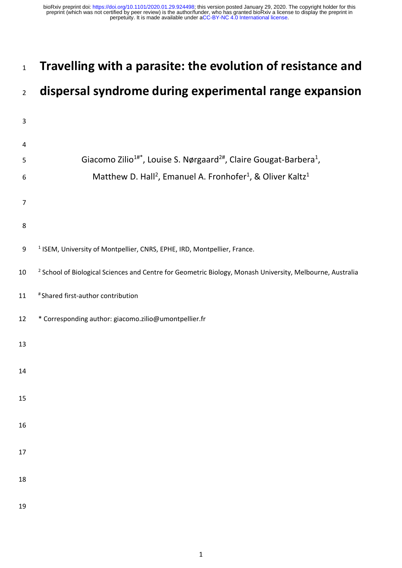# <sup>1</sup> **Travelling with a parasite: the evolution of resistance and**

# <sup>2</sup> **dispersal syndrome during experimental range expansion**

| $\mathsf 3$    |                                                                                                                      |
|----------------|----------------------------------------------------------------------------------------------------------------------|
| 4              |                                                                                                                      |
| 5              | Giacomo Zilio <sup>1#*</sup> , Louise S. Nørgaard <sup>2#</sup> , Claire Gougat-Barbera <sup>1</sup> ,               |
| 6              | Matthew D. Hall <sup>2</sup> , Emanuel A. Fronhofer <sup>1</sup> , & Oliver Kaltz <sup>1</sup>                       |
| $\overline{7}$ |                                                                                                                      |
| 8              |                                                                                                                      |
| 9              | <sup>1</sup> ISEM, University of Montpellier, CNRS, EPHE, IRD, Montpellier, France.                                  |
| 10             | <sup>2</sup> School of Biological Sciences and Centre for Geometric Biology, Monash University, Melbourne, Australia |
| 11             | # Shared first-author contribution                                                                                   |
| 12             | * Corresponding author: giacomo.zilio@umontpellier.fr                                                                |
| 13             |                                                                                                                      |
| 14             |                                                                                                                      |
| 15             |                                                                                                                      |
|                |                                                                                                                      |
| 16             |                                                                                                                      |
| 17             |                                                                                                                      |
| 18             |                                                                                                                      |
| 19             |                                                                                                                      |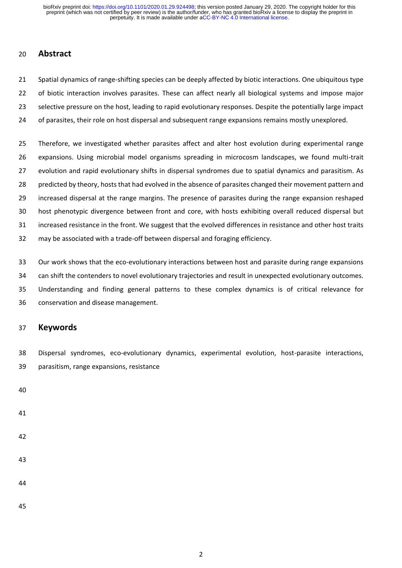# **Abstract**

 Spatial dynamics of range-shifting species can be deeply affected by biotic interactions. One ubiquitous type of biotic interaction involves parasites. These can affect nearly all biological systems and impose major 23 selective pressure on the host, leading to rapid evolutionary responses. Despite the potentially large impact of parasites, their role on host dispersal and subsequent range expansions remains mostly unexplored.

 Therefore, we investigated whether parasites affect and alter host evolution during experimental range expansions. Using microbial model organisms spreading in microcosm landscapes, we found multi-trait 27 evolution and rapid evolutionary shifts in dispersal syndromes due to spatial dynamics and parasitism. As 28 predicted by theory, hosts that had evolved in the absence of parasites changed their movement pattern and increased dispersal at the range margins. The presence of parasites during the range expansion reshaped host phenotypic divergence between front and core, with hosts exhibiting overall reduced dispersal but increased resistance in the front. We suggest that the evolved differences in resistance and other host traits may be associated with a trade-off between dispersal and foraging efficiency.

 Our work shows that the eco-evolutionary interactions between host and parasite during range expansions can shift the contenders to novel evolutionary trajectories and result in unexpected evolutionary outcomes. Understanding and finding general patterns to these complex dynamics is of critical relevance for conservation and disease management.

## **Keywords**

 Dispersal syndromes, eco-evolutionary dynamics, experimental evolution, host-parasite interactions, parasitism, range expansions, resistance

- 
- 
- 
- 
- 
- 
-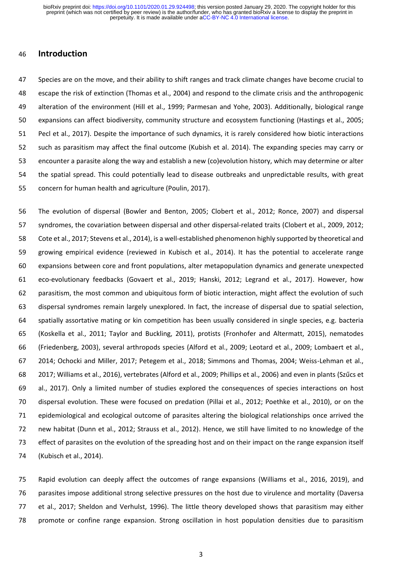## **Introduction**

 Species are on the move, and their ability to shift ranges and track climate changes have become crucial to escape the risk of extinction (Thomas et al., 2004) and respond to the climate crisis and the anthropogenic alteration of the environment (Hill et al., 1999; Parmesan and Yohe, 2003). Additionally, biological range expansions can affect biodiversity, community structure and ecosystem functioning (Hastings et al., 2005; Pecl et al., 2017). Despite the importance of such dynamics, it is rarely considered how biotic interactions such as parasitism may affect the final outcome (Kubish et al. 2014). The expanding species may carry or encounter a parasite along the way and establish a new (co)evolution history, which may determine or alter the spatial spread. This could potentially lead to disease outbreaks and unpredictable results, with great concern for human health and agriculture (Poulin, 2017).

 The evolution of dispersal (Bowler and Benton, 2005; Clobert et al., 2012; Ronce, 2007) and dispersal syndromes, the covariation between dispersal and other dispersal-related traits (Clobert et al., 2009, 2012; Cote et al., 2017; Stevens et al., 2014), is a well-established phenomenon highly supported by theoretical and growing empirical evidence (reviewed in Kubisch et al., 2014). It has the potential to accelerate range expansions between core and front populations, alter metapopulation dynamics and generate unexpected eco-evolutionary feedbacks (Govaert et al., 2019; Hanski, 2012; Legrand et al., 2017). However, how parasitism, the most common and ubiquitous form of biotic interaction, might affect the evolution of such dispersal syndromes remain largely unexplored. In fact, the increase of dispersal due to spatial selection, spatially assortative mating or kin competition has been usually considered in single species, e.g. bacteria (Koskella et al., 2011; Taylor and Buckling, 2011), protists (Fronhofer and Altermatt, 2015), nematodes (Friedenberg, 2003), several arthropods species (Alford et al., 2009; Leotard et al., 2009; Lombaert et al., 2014; Ochocki and Miller, 2017; Petegem et al., 2018; Simmons and Thomas, 2004; Weiss-Lehman et al., 2017; Williams et al., 2016), vertebrates (Alford et al., 2009; Phillips et al., 2006) and even in plants (Szűcs et al., 2017). Only a limited number of studies explored the consequences of species interactions on host dispersal evolution. These were focused on predation (Pillai et al., 2012; Poethke et al., 2010), or on the epidemiological and ecological outcome of parasites altering the biological relationships once arrived the new habitat (Dunn et al., 2012; Strauss et al., 2012). Hence, we still have limited to no knowledge of the effect of parasites on the evolution of the spreading host and on their impact on the range expansion itself (Kubisch et al., 2014).

 Rapid evolution can deeply affect the outcomes of range expansions (Williams et al., 2016, 2019), and parasites impose additional strong selective pressures on the host due to virulence and mortality (Daversa et al., 2017; Sheldon and Verhulst, 1996). The little theory developed shows that parasitism may either promote or confine range expansion. Strong oscillation in host population densities due to parasitism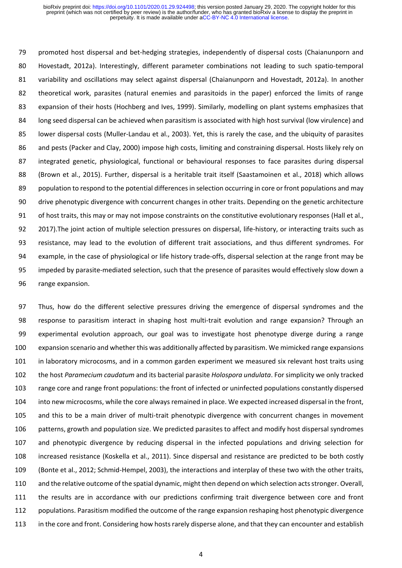79 promoted host dispersal and bet-hedging strategies, independently of dispersal costs (Chaianunporn and 80 Hovestadt, 2012a). Interestingly, different parameter combinations not leading to such spatio-temporal variability and oscillations may select against dispersal (Chaianunporn and Hovestadt, 2012a). In another theoretical work, parasites (natural enemies and parasitoids in the paper) enforced the limits of range 83 expansion of their hosts (Hochberg and Ives, 1999). Similarly, modelling on plant systems emphasizes that long seed dispersal can be achieved when parasitism is associated with high host survival (low virulence) and lower dispersal costs (Muller-Landau et al., 2003). Yet, this is rarely the case, and the ubiquity of parasites and pests (Packer and Clay, 2000) impose high costs, limiting and constraining dispersal. Hosts likely rely on integrated genetic, physiological, functional or behavioural responses to face parasites during dispersal (Brown et al., 2015). Further, dispersal is a heritable trait itself (Saastamoinen et al., 2018) which allows population to respond to the potential differences in selection occurring in core or front populations and may drive phenotypic divergence with concurrent changes in other traits. Depending on the genetic architecture of host traits, this may or may not impose constraints on the constitutive evolutionary responses (Hall et al., 2017).The joint action of multiple selection pressures on dispersal, life-history, or interacting traits such as resistance, may lead to the evolution of different trait associations, and thus different syndromes. For example, in the case of physiological or life history trade-offs, dispersal selection at the range front may be impeded by parasite-mediated selection, such that the presence of parasites would effectively slow down a range expansion.

 Thus, how do the different selective pressures driving the emergence of dispersal syndromes and the response to parasitism interact in shaping host multi-trait evolution and range expansion? Through an experimental evolution approach, our goal was to investigate host phenotype diverge during a range expansion scenario and whether this was additionally affected by parasitism. We mimicked range expansions in laboratory microcosms, and in a common garden experiment we measured six relevant host traits using the host *Paramecium caudatum* and its bacterial parasite *Holospora undulata*. For simplicity we only tracked range core and range front populations: the front of infected or uninfected populations constantly dispersed into new microcosms, while the core always remained in place. We expected increased dispersal in the front, and this to be a main driver of multi-trait phenotypic divergence with concurrent changes in movement patterns, growth and population size. We predicted parasites to affect and modify host dispersal syndromes and phenotypic divergence by reducing dispersal in the infected populations and driving selection for increased resistance (Koskella et al., 2011). Since dispersal and resistance are predicted to be both costly (Bonte et al., 2012; Schmid-Hempel, 2003), the interactions and interplay of these two with the other traits, and the relative outcome of the spatial dynamic, might then depend on which selection acts stronger. Overall, the results are in accordance with our predictions confirming trait divergence between core and front populations. Parasitism modified the outcome of the range expansion reshaping host phenotypic divergence in the core and front. Considering how hosts rarely disperse alone, and that they can encounter and establish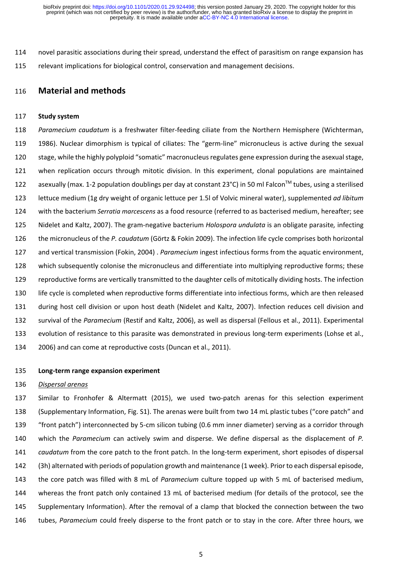novel parasitic associations during their spread, understand the effect of parasitism on range expansion has relevant implications for biological control, conservation and management decisions.

## **Material and methods**

#### **Study system**

 *Paramecium caudatum* is a freshwater filter-feeding ciliate from the Northern Hemisphere (Wichterman, 1986). Nuclear dimorphism is typical of ciliates: The "germ-line" micronucleus is active during the sexual stage, while the highly polyploid "somatic" macronucleus regulates gene expression during the asexual stage, when replication occurs through mitotic division. In this experiment, clonal populations are maintained 122 asexually (max. 1-2 population doublings per day at constant 23°C) in 50 ml Falcon™ tubes, using a sterilised lettuce medium (1g dry weight of organic lettuce per 1.5l of Volvic mineral water), supplemented *ad libitum* with the bacterium *Serratia marcescens* as a food resource (referred to as bacterised medium, hereafter; see Nidelet and Kaltz, 2007). The gram-negative bacterium *Holospora undulata* is an obligate parasite*,* infecting the micronucleus of the *P. caudatum* (Görtz & Fokin 2009). The infection life cycle comprises both horizontal and vertical transmission (Fokin, 2004) . *Paramecium* ingest infectious forms from the aquatic environment, which subsequently colonise the micronucleus and differentiate into multiplying reproductive forms; these reproductive forms are vertically transmitted to the daughter cells of mitotically dividing hosts. The infection life cycle is completed when reproductive forms differentiate into infectious forms, which are then released during host cell division or upon host death (Nidelet and Kaltz, 2007). Infection reduces cell division and survival of the *Paramecium* (Restif and Kaltz, 2006), as well as dispersal (Fellous et al., 2011). Experimental evolution of resistance to this parasite was demonstrated in previous long-term experiments (Lohse et al., 2006) and can come at reproductive costs (Duncan et al., 2011).

#### **Long-term range expansion experiment**

#### *Dispersal arenas*

 Similar to Fronhofer & Altermatt (2015), we used two-patch arenas for this selection experiment (Supplementary Information, Fig. S1). The arenas were built from two 14 mL plastic tubes ("core patch" and "front patch") interconnected by 5-cm silicon tubing (0.6 mm inner diameter) serving as a corridor through which the *Paramecium* can actively swim and disperse. We define dispersal as the displacement of *P. caudatum* from the core patch to the front patch. In the long-term experiment, short episodes of dispersal (3h) alternated with periods of population growth and maintenance (1 week). Prior to each dispersal episode, the core patch was filled with 8 mL of *Paramecium* culture topped up with 5 mL of bacterised medium, whereas the front patch only contained 13 mL of bacterised medium (for details of the protocol, see the Supplementary Information). After the removal of a clamp that blocked the connection between the two tubes, *Paramecium* could freely disperse to the front patch or to stay in the core. After three hours, we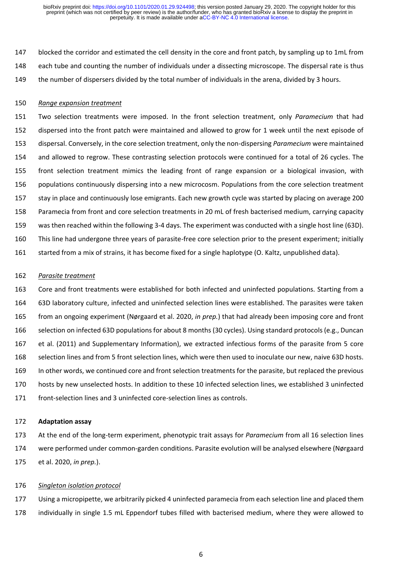blocked the corridor and estimated the cell density in the core and front patch, by sampling up to 1mL from each tube and counting the number of individuals under a dissecting microscope. The dispersal rate is thus the number of dispersers divided by the total number of individuals in the arena, divided by 3 hours.

#### *Range expansion treatment*

 Two selection treatments were imposed. In the front selection treatment, only *Paramecium* that had dispersed into the front patch were maintained and allowed to grow for 1 week until the next episode of dispersal. Conversely, in the core selection treatment, only the non-dispersing *Paramecium* were maintained and allowed to regrow. These contrasting selection protocols were continued for a total of 26 cycles. The front selection treatment mimics the leading front of range expansion or a biological invasion, with populations continuously dispersing into a new microcosm. Populations from the core selection treatment stay in place and continuously lose emigrants. Each new growth cycle was started by placing on average 200 Paramecia from front and core selection treatments in 20 mL of fresh bacterised medium, carrying capacity was then reached within the following 3-4 days. The experiment was conducted with a single host line (63D). This line had undergone three years of parasite-free core selection prior to the present experiment; initially started from a mix of strains, it has become fixed for a single haplotype (O. Kaltz, unpublished data).

#### *Parasite treatment*

 Core and front treatments were established for both infected and uninfected populations. Starting from a 63D laboratory culture, infected and uninfected selection lines were established. The parasites were taken from an ongoing experiment (Nørgaard et al. 2020, *in prep.*) that had already been imposing core and front selection on infected 63D populations for about 8 months (30 cycles). Using standard protocols (e.g., Duncan et al. (2011) and Supplementary Information), we extracted infectious forms of the parasite from 5 core selection lines and from 5 front selection lines, which were then used to inoculate our new, naive 63D hosts. In other words, we continued core and front selection treatments for the parasite, but replaced the previous hosts by new unselected hosts. In addition to these 10 infected selection lines, we established 3 uninfected front-selection lines and 3 uninfected core-selection lines as controls.

#### **Adaptation assay**

 At the end of the long-term experiment, phenotypic trait assays for *Paramecium* from all 16 selection lines were performed under common-garden conditions. Parasite evolution will be analysed elsewhere (Nørgaard et al. 2020, *in prep.*).

#### *Singleton isolation protocol*

 Using a micropipette, we arbitrarily picked 4 uninfected paramecia from each selection line and placed them individually in single 1.5 mL Eppendorf tubes filled with bacterised medium, where they were allowed to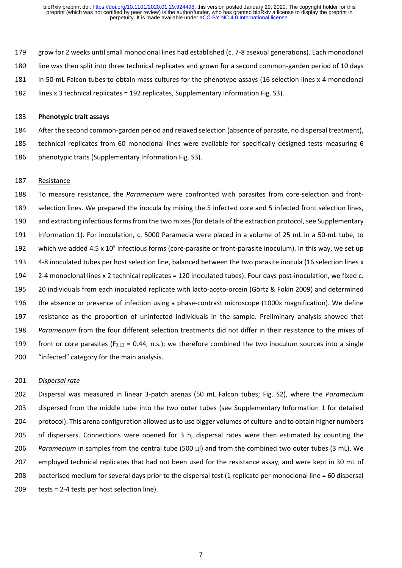grow for 2 weeks until small monoclonal lines had established (c. 7-8 asexual generations). Each monoclonal line was then split into three technical replicates and grown for a second common-garden period of 10 days in 50-mL Falcon tubes to obtain mass cultures for the phenotype assays (16 selection lines x 4 monoclonal lines x 3 technical replicates = 192 replicates, Supplementary Information Fig. S3).

#### **Phenotypic trait assays**

 After the second common-garden period and relaxed selection (absence of parasite, no dispersal treatment), technical replicates from 60 monoclonal lines were available for specifically designed tests measuring 6 phenotypic traits (Supplementary Information Fig. S3).

#### Resistance

 To measure resistance, the *Paramecium* were confronted with parasites from core-selection and front- selection lines. We prepared the inocula by mixing the 5 infected core and 5 infected front selection lines, and extracting infectious forms from the two mixes(for details of the extraction protocol, see Supplementary Information 1). For inoculation, c. 5000 Paramecia were placed in a volume of 25 mL in a 50-mL tube, to 192 which we added  $4.5 \times 10^5$  infectious forms (core-parasite or front-parasite inoculum). In this way, we set up 4-8 inoculated tubes per host selection line, balanced between the two parasite inocula (16 selection lines x 2-4 monoclonal lines x 2 technical replicates = 120 inoculated tubes). Four days post-inoculation, we fixed c. 20 individuals from each inoculated replicate with lacto-aceto-orcein (Görtz & Fokin 2009) and determined the absence or presence of infection using a phase-contrast microscope (1000x magnification). We define resistance as the proportion of uninfected individuals in the sample. Preliminary analysis showed that *Paramecium* from the four different selection treatments did not differ in their resistance to the mixes of 199 front or core parasites ( $F_{3,12} = 0.44$ , n.s.); we therefore combined the two inoculum sources into a single "infected" category for the main analysis.

#### *Dispersal rate*

 Dispersal was measured in linear 3-patch arenas (50 mL Falcon tubes; Fig. S2), where the *Paramecium* dispersed from the middle tube into the two outer tubes (see Supplementary Information 1 for detailed protocol). This arena configuration allowed us to use bigger volumes of culture and to obtain higher numbers of dispersers. Connections were opened for 3 h, dispersal rates were then estimated by counting the *Paramecium* in samples from the central tube (500 µl) and from the combined two outer tubes (3 mL). We employed technical replicates that had not been used for the resistance assay, and were kept in 30 mL of 208 bacterised medium for several days prior to the dispersal test (1 replicate per monoclonal line = 60 dispersal tests = 2-4 tests per host selection line).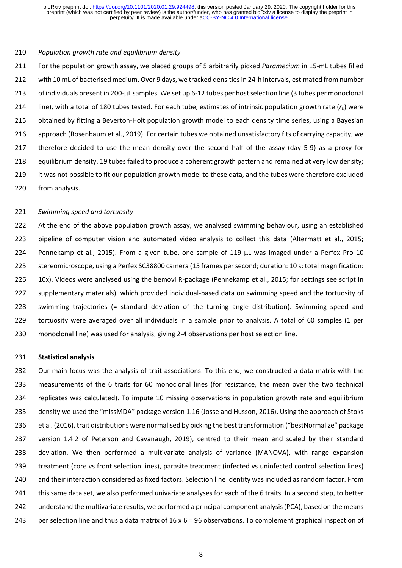#### *Population growth rate and equilibrium density*

 For the population growth assay, we placed groups of 5 arbitrarily picked *Paramecium* in 15-mL tubes filled with 10 mL of bacterised medium. Over 9 days, we tracked densities in 24-h intervals, estimated from number 213 of individuals present in 200-uL samples. We set up 6-12 tubes per host selection line (3 tubes per monoclonal line), with a total of 180 tubes tested. For each tube, estimates of intrinsic population growth rate (*r0*) were obtained by fitting a Beverton-Holt population growth model to each density time series, using a Bayesian approach (Rosenbaum et al., 2019). For certain tubes we obtained unsatisfactory fits of carrying capacity; we therefore decided to use the mean density over the second half of the assay (day 5-9) as a proxy for equilibrium density. 19 tubes failed to produce a coherent growth pattern and remained at very low density; it was not possible to fit our population growth model to these data, and the tubes were therefore excluded from analysis.

#### *Swimming speed and tortuosity*

222 At the end of the above population growth assay, we analysed swimming behaviour, using an established pipeline of computer vision and automated video analysis to collect this data (Altermatt et al., 2015; Pennekamp et al., 2015). From a given tube, one sample of 119 µL was imaged under a Perfex Pro 10 stereomicroscope, using a Perfex SC38800 camera (15 frames per second; duration: 10 s; total magnification: 10x). Videos were analysed using the bemovi R-package (Pennekamp et al., 2015; for settings see script in supplementary materials), which provided individual-based data on swimming speed and the tortuosity of swimming trajectories (= standard deviation of the turning angle distribution). Swimming speed and tortuosity were averaged over all individuals in a sample prior to analysis. A total of 60 samples (1 per monoclonal line) was used for analysis, giving 2-4 observations per host selection line.

#### **Statistical analysis**

 Our main focus was the analysis of trait associations. To this end, we constructed a data matrix with the measurements of the 6 traits for 60 monoclonal lines (for resistance, the mean over the two technical replicates was calculated). To impute 10 missing observations in population growth rate and equilibrium density we used the "missMDA" package version 1.16 (Josse and Husson, 2016). Using the approach of Stoks et al. (2016), trait distributions were normalised by picking the best transformation ("bestNormalize" package version 1.4.2 of Peterson and Cavanaugh, 2019), centred to their mean and scaled by their standard deviation. We then performed a multivariate analysis of variance (MANOVA), with range expansion treatment (core vs front selection lines), parasite treatment (infected vs uninfected control selection lines) and their interaction considered as fixed factors. Selection line identity was included as random factor. From this same data set, we also performed univariate analyses for each of the 6 traits. In a second step, to better understand the multivariate results, we performed a principal component analysis (PCA), based on the means 243 per selection line and thus a data matrix of  $16 \times 6 = 96$  observations. To complement graphical inspection of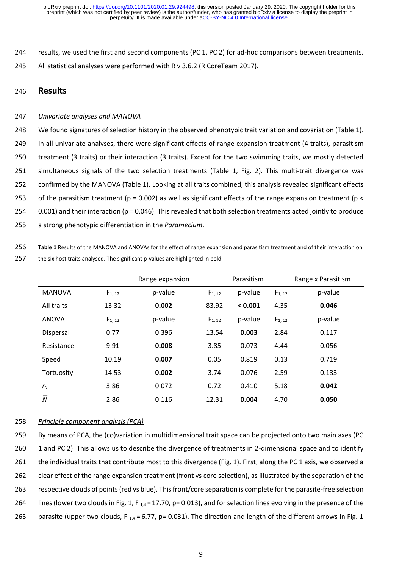244 results, we used the first and second components (PC 1, PC 2) for ad-hoc comparisons between treatments. 245 All statistical analyses were performed with R v 3.6.2 (R CoreTeam 2017).

#### 246 **Results**

#### 247 *Univariate analyses and MANOVA*

 We found signatures of selection history in the observed phenotypic trait variation and covariation (Table 1). In all univariate analyses, there were significant effects of range expansion treatment (4 traits), parasitism treatment (3 traits) or their interaction (3 traits). Except for the two swimming traits, we mostly detected simultaneous signals of the two selection treatments (Table 1, Fig. 2). This multi-trait divergence was confirmed by the MANOVA (Table 1). Looking at all traits combined, this analysis revealed significant effects 253 of the parasitism treatment (p = 0.002) as well as significant effects of the range expansion treatment (p < 0.001) and their interaction (p = 0.046). This revealed that both selection treatments acted jointly to produce a strong phenotypic differentiation in the *Paramecium*.

256 **Table 1** Results of the MANOVA and ANOVAs for the effect of range expansion and parasitism treatment and of their interaction on

|                |             | Range expansion |             | Parasitism | Range x Parasitism |         |
|----------------|-------------|-----------------|-------------|------------|--------------------|---------|
| <b>MANOVA</b>  | $F_{1, 12}$ | p-value         | $F_{1, 12}$ | p-value    | $F_{1, 12}$        | p-value |
| All traits     | 13.32       | 0.002           | 83.92       | < 0.001    | 4.35               | 0.046   |
| <b>ANOVA</b>   | $F_{1, 12}$ | p-value         | $F_{1, 12}$ | p-value    | $F_{1, 12}$        | p-value |
| Dispersal      | 0.77        | 0.396           | 13.54       | 0.003      | 2.84               | 0.117   |
| Resistance     | 9.91        | 0.008           | 3.85        | 0.073      | 4.44               | 0.056   |
| Speed          | 10.19       | 0.007           | 0.05        | 0.819      | 0.13               | 0.719   |
| Tortuosity     | 14.53       | 0.002           | 3.74        | 0.076      | 2.59               | 0.133   |
| r <sub>0</sub> | 3.86        | 0.072           | 0.72        | 0.410      | 5.18               | 0.042   |
| $\overline{N}$ | 2.86        | 0.116           | 12.31       | 0.004      | 4.70               | 0.050   |

257 the six host traits analysed. The significant p-values are highlighted in bold.

#### 258 *Principle component analysis (PCA)*

259 By means of PCA, the (co)variation in multidimensional trait space can be projected onto two main axes (PC 260 1 and PC 2). This allows us to describe the divergence of treatments in 2-dimensional space and to identify 261 the individual traits that contribute most to this divergence (Fig. 1). First, along the PC 1 axis, we observed a 262 clear effect of the range expansion treatment (front vs core selection), as illustrated by the separation of the 263 respective clouds of points (red vs blue). This front/core separation is complete for the parasite-free selection 264 lines (lower two clouds in Fig. 1, F  $_{1.4}$  = 17.70, p= 0.013), and for selection lines evolving in the presence of the 265 parasite (upper two clouds, F<sub>1,4</sub> = 6.77, p= 0.031). The direction and length of the different arrows in Fig. 1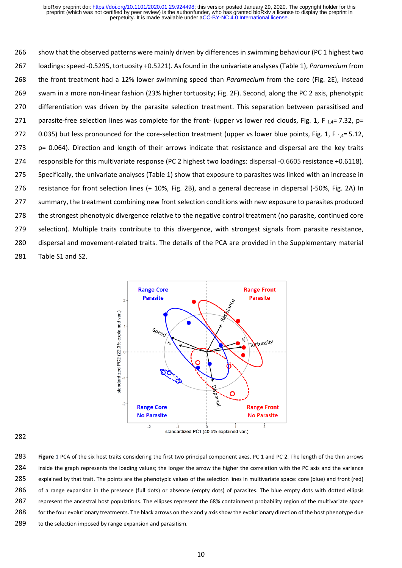show that the observed patterns were mainly driven by differences in swimming behaviour (PC 1 highest two loadings: speed -0.5295, tortuosity +0.5221). As found in the univariate analyses (Table 1), *Paramecium* from the front treatment had a 12% lower swimming speed than *Paramecium* from the core (Fig. 2E), instead swam in a more non-linear fashion (23% higher tortuosity; Fig. 2F). Second, along the PC 2 axis, phenotypic differentiation was driven by the parasite selection treatment. This separation between parasitised and 271 parasite-free selection lines was complete for the front- (upper vs lower red clouds, Fig. 1, F  $_{1,4}$ = 7.32, p= 272 0.035) but less pronounced for the core-selection treatment (upper vs lower blue points, Fig. 1, F  $_{1.4}$ = 5.12, p= 0.064). Direction and length of their arrows indicate that resistance and dispersal are the key traits responsible for this multivariate response (PC 2 highest two loadings: dispersal -0.6605 resistance +0.6118). Specifically, the univariate analyses (Table 1) show that exposure to parasites was linked with an increase in resistance for front selection lines (+ 10%, Fig. 2B), and a general decrease in dispersal (-50%, Fig. 2A) In summary, the treatment combining new front selection conditions with new exposure to parasites produced the strongest phenotypic divergence relative to the negative control treatment (no parasite, continued core selection). Multiple traits contribute to this divergence, with strongest signals from parasite resistance, dispersal and movement-related traits. The details of the PCA are provided in the Supplementary material Table S1 and S2.



 **Figure 1** PCA of the six host traits considering the first two principal component axes, PC 1 and PC 2. The length of the thin arrows inside the graph represents the loading values; the longer the arrow the higher the correlation with the PC axis and the variance explained by that trait. The points are the phenotypic values of the selection lines in multivariate space: core (blue) and front (red) 286 of a range expansion in the presence (full dots) or absence (empty dots) of parasites. The blue empty dots with dotted ellipsis 287 represent the ancestral host populations. The ellipses represent the 68% containment probability region of the multivariate space 288 for the four evolutionary treatments. The black arrows on the x and y axis show the evolutionary direction of the host phenotype due 289 to the selection imposed by range expansion and parasitism.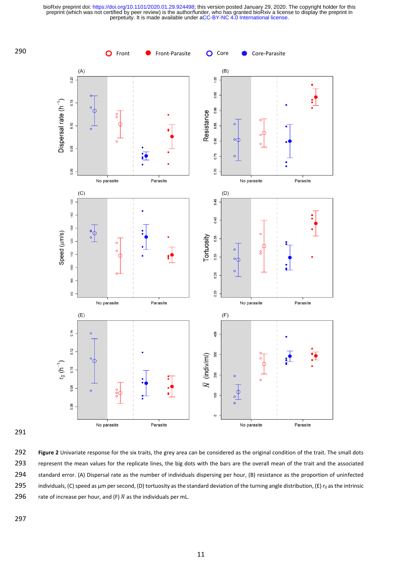

291

292 **Figure 2** Univariate response for the six traits, the grey area can be considered as the original condition of the trait. The small dots 293 represent the mean values for the replicate lines, the big dots with the bars are the overall mean of the trait and the associated 294 standard error. (A) Dispersal rate as the number of individuals dispersing per hour, (B) resistance as the proportion of uninfected 295 individuals, (C) speed as µm per second, (D) tortuosity as the standard deviation of the turning angle distribution, (E) *r<sup>0</sup>* as the intrinsic 296 rate of increase per hour, and (F)  $\bar{N}$  as the individuals per mL.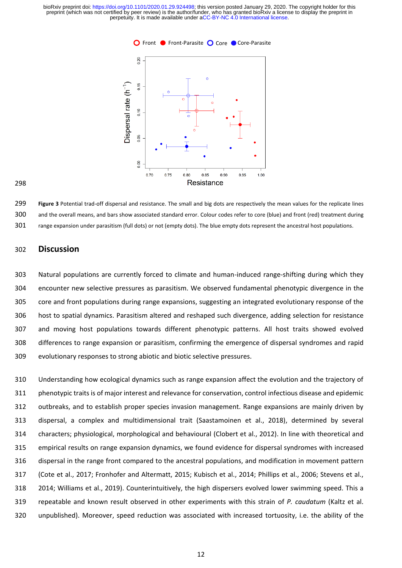



 **Figure 3** Potential trad-off dispersal and resistance. The small and big dots are respectively the mean values for the replicate lines and the overall means, and bars show associated standard error. Colour codes refer to core (blue) and front (red) treatment during range expansion under parasitism (full dots) or not (empty dots). The blue empty dots represent the ancestral host populations.

## **Discussion**

 Natural populations are currently forced to climate and human-induced range-shifting during which they encounter new selective pressures as parasitism. We observed fundamental phenotypic divergence in the core and front populations during range expansions, suggesting an integrated evolutionary response of the host to spatial dynamics. Parasitism altered and reshaped such divergence, adding selection for resistance and moving host populations towards different phenotypic patterns. All host traits showed evolved differences to range expansion or parasitism, confirming the emergence of dispersal syndromes and rapid evolutionary responses to strong abiotic and biotic selective pressures.

 Understanding how ecological dynamics such as range expansion affect the evolution and the trajectory of phenotypic traits is of major interest and relevance for conservation, control infectious disease and epidemic outbreaks, and to establish proper species invasion management. Range expansions are mainly driven by dispersal, a complex and multidimensional trait (Saastamoinen et al., 2018), determined by several characters; physiological, morphological and behavioural (Clobert et al., 2012). In line with theoretical and empirical results on range expansion dynamics, we found evidence for dispersal syndromes with increased dispersal in the range front compared to the ancestral populations, and modification in movement pattern (Cote et al., 2017; Fronhofer and Altermatt, 2015; Kubisch et al., 2014; Phillips et al., 2006; Stevens et al., 2014; Williams et al., 2019). Counterintuitively, the high dispersers evolved lower swimming speed. This a repeatable and known result observed in other experiments with this strain of *P. caudatum* (Kaltz et al. unpublished). Moreover, speed reduction was associated with increased tortuosity, i.e. the ability of the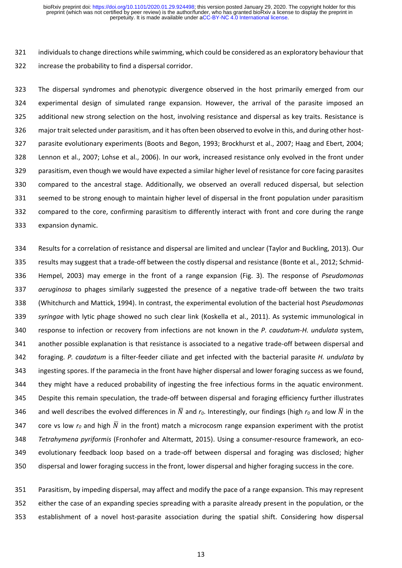individuals to change directions while swimming, which could be considered as an exploratory behaviour that increase the probability to find a dispersal corridor.

 The dispersal syndromes and phenotypic divergence observed in the host primarily emerged from our experimental design of simulated range expansion. However, the arrival of the parasite imposed an additional new strong selection on the host, involving resistance and dispersal as key traits. Resistance is major trait selected under parasitism, and it has often been observed to evolve in this, and during other host- parasite evolutionary experiments (Boots and Begon, 1993; Brockhurst et al., 2007; Haag and Ebert, 2004; Lennon et al., 2007; Lohse et al., 2006). In our work, increased resistance only evolved in the front under parasitism, even though we would have expected a similar higher level of resistance for core facing parasites compared to the ancestral stage. Additionally, we observed an overall reduced dispersal, but selection seemed to be strong enough to maintain higher level of dispersal in the front population under parasitism compared to the core, confirming parasitism to differently interact with front and core during the range expansion dynamic.

 Results for a correlation of resistance and dispersal are limited and unclear (Taylor and Buckling, 2013). Our results may suggest that a trade-off between the costly dispersal and resistance (Bonte et al., 2012; Schmid- Hempel, 2003) may emerge in the front of a range expansion (Fig. 3). The response of *Pseudomonas aeruginosa* to phages similarly suggested the presence of a negative trade-off between the two traits (Whitchurch and Mattick, 1994). In contrast, the experimental evolution of the bacterial host *Pseudomonas syringae* with lytic phage showed no such clear link (Koskella et al., 2011). As systemic immunological in response to infection or recovery from infections are not known in the *P. caudatum-H. undulata* system, another possible explanation is that resistance is associated to a negative trade-off between dispersal and foraging. *P. caudatum* is a filter-feeder ciliate and get infected with the bacterial parasite *H. undulata* by ingesting spores. If the paramecia in the front have higher dispersal and lower foraging success as we found, they might have a reduced probability of ingesting the free infectious forms in the aquatic environment. Despite this remain speculation, the trade-off between dispersal and foraging efficiency further illustrates 346 and well describes the evolved differences in  $\bar{N}$  and  $r_0$ . Interestingly, our findings (high  $r_0$  and low  $\bar{N}$  in the 347 core vs low  $r_0$  and high  $\overline{N}$  in the front) match a microcosm range expansion experiment with the protist *Tetrahymena pyriformis* (Fronhofer and Altermatt, 2015). Using a consumer-resource framework, an eco- evolutionary feedback loop based on a trade-off between dispersal and foraging was disclosed; higher dispersal and lower foraging success in the front, lower dispersal and higher foraging success in the core.

 Parasitism, by impeding dispersal, may affect and modify the pace of a range expansion. This may represent either the case of an expanding species spreading with a parasite already present in the population, or the establishment of a novel host-parasite association during the spatial shift. Considering how dispersal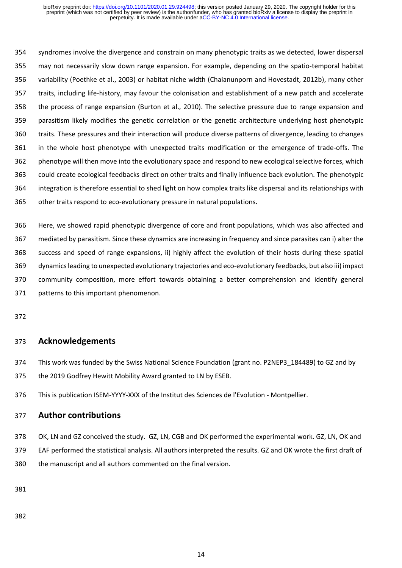syndromes involve the divergence and constrain on many phenotypic traits as we detected, lower dispersal may not necessarily slow down range expansion. For example, depending on the spatio-temporal habitat variability (Poethke et al., 2003) or habitat niche width (Chaianunporn and Hovestadt, 2012b), many other traits, including life-history, may favour the colonisation and establishment of a new patch and accelerate the process of range expansion (Burton et al., 2010). The selective pressure due to range expansion and parasitism likely modifies the genetic correlation or the genetic architecture underlying host phenotypic traits. These pressures and their interaction will produce diverse patterns of divergence, leading to changes in the whole host phenotype with unexpected traits modification or the emergence of trade-offs. The phenotype will then move into the evolutionary space and respond to new ecological selective forces, which could create ecological feedbacks direct on other traits and finally influence back evolution. The phenotypic integration is therefore essential to shed light on how complex traits like dispersal and its relationships with other traits respond to eco-evolutionary pressure in natural populations.

 Here, we showed rapid phenotypic divergence of core and front populations, which was also affected and mediated by parasitism. Since these dynamics are increasing in frequency and since parasites can i) alter the success and speed of range expansions, ii) highly affect the evolution of their hosts during these spatial dynamics leading to unexpected evolutionary trajectories and eco-evolutionary feedbacks, but also iii) impact community composition, more effort towards obtaining a better comprehension and identify general patterns to this important phenomenon.

# **Acknowledgements**

This work was funded by the Swiss National Science Foundation (grant no. P2NEP3\_184489) to GZ and by

the 2019 Godfrey Hewitt Mobility Award granted to LN by ESEB.

This is publication ISEM-YYYY-XXX of the Institut des Sciences de l'Evolution - Montpellier.

# **Author contributions**

378 OK, LN and GZ conceived the study. GZ, LN, CGB and OK performed the experimental work. GZ, LN, OK and EAF performed the statistical analysis. All authors interpreted the results. GZ and OK wrote the first draft of the manuscript and all authors commented on the final version.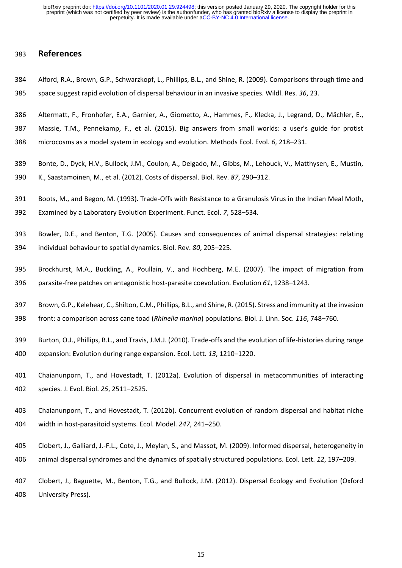## **References**

- Alford, R.A., Brown, G.P., Schwarzkopf, L., Phillips, B.L., and Shine, R. (2009). Comparisons through time and
- space suggest rapid evolution of dispersal behaviour in an invasive species. Wildl. Res. *36*, 23.
- Altermatt, F., Fronhofer, E.A., Garnier, A., Giometto, A., Hammes, F., Klecka, J., Legrand, D., Mächler, E.,

Massie, T.M., Pennekamp, F., et al. (2015). Big answers from small worlds: a user's guide for protist

- microcosms as a model system in ecology and evolution. Methods Ecol. Evol. *6*, 218–231.
- Bonte, D., Dyck, H.V., Bullock, J.M., Coulon, A., Delgado, M., Gibbs, M., Lehouck, V., Matthysen, E., Mustin,
- K., Saastamoinen, M., et al. (2012). Costs of dispersal. Biol. Rev. *87*, 290–312.
- Boots, M., and Begon, M. (1993). Trade-Offs with Resistance to a Granulosis Virus in the Indian Meal Moth,
- Examined by a Laboratory Evolution Experiment. Funct. Ecol. *7*, 528–534.
- Bowler, D.E., and Benton, T.G. (2005). Causes and consequences of animal dispersal strategies: relating individual behaviour to spatial dynamics. Biol. Rev. *80*, 205–225.
- Brockhurst, M.A., Buckling, A., Poullain, V., and Hochberg, M.E. (2007). The impact of migration from parasite-free patches on antagonistic host-parasite coevolution. Evolution *61*, 1238–1243.
- Brown, G.P., Kelehear, C., Shilton, C.M., Phillips, B.L., and Shine, R. (2015). Stress and immunity at the invasion
- front: a comparison across cane toad (*Rhinella marina*) populations. Biol. J. Linn. Soc. *116*, 748–760.
- Burton, O.J., Phillips, B.L., and Travis, J.M.J. (2010). Trade-offs and the evolution of life-histories during range
- expansion: Evolution during range expansion. Ecol. Lett. *13*, 1210–1220.
- Chaianunporn, T., and Hovestadt, T. (2012a). Evolution of dispersal in metacommunities of interacting species. J. Evol. Biol. *25*, 2511–2525.
- Chaianunporn, T., and Hovestadt, T. (2012b). Concurrent evolution of random dispersal and habitat niche width in host-parasitoid systems. Ecol. Model. *247*, 241–250.
- Clobert, J., Galliard, J.-F.L., Cote, J., Meylan, S., and Massot, M. (2009). Informed dispersal, heterogeneity in animal dispersal syndromes and the dynamics of spatially structured populations. Ecol. Lett. *12*, 197–209.
- Clobert, J., Baguette, M., Benton, T.G., and Bullock, J.M. (2012). Dispersal Ecology and Evolution (Oxford University Press).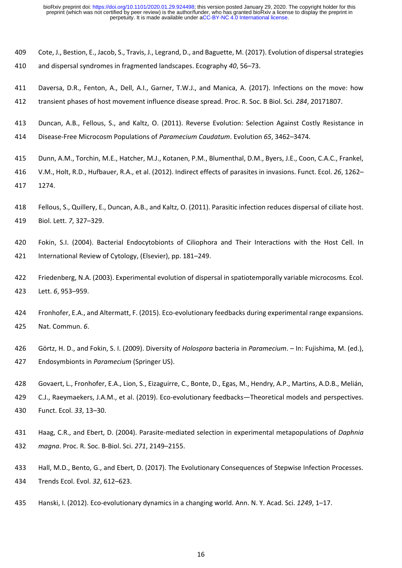- Cote, J., Bestion, E., Jacob, S., Travis, J., Legrand, D., and Baguette, M. (2017). Evolution of dispersal strategies
- and dispersal syndromes in fragmented landscapes. Ecography *40*, 56–73.
- Daversa, D.R., Fenton, A., Dell, A.I., Garner, T.W.J., and Manica, A. (2017). Infections on the move: how
- transient phases of host movement influence disease spread. Proc. R. Soc. B Biol. Sci. *284*, 20171807.
- Duncan, A.B., Fellous, S., and Kaltz, O. (2011). Reverse Evolution: Selection Against Costly Resistance in
- Disease-Free Microcosm Populations of *Paramecium Caudatum*. Evolution *65*, 3462–3474.
- Dunn, A.M., Torchin, M.E., Hatcher, M.J., Kotanen, P.M., Blumenthal, D.M., Byers, J.E., Coon, C.A.C., Frankel,
- V.M., Holt, R.D., Hufbauer, R.A., et al. (2012). Indirect effects of parasites in invasions. Funct. Ecol. *26*, 1262– 1274.
- Fellous, S., Quillery, E., Duncan, A.B., and Kaltz, O. (2011). Parasitic infection reduces dispersal of ciliate host. Biol. Lett. *7*, 327–329.
- Fokin, S.I. (2004). Bacterial Endocytobionts of Ciliophora and Their Interactions with the Host Cell. In International Review of Cytology, (Elsevier), pp. 181–249.
- Friedenberg, N.A. (2003). Experimental evolution of dispersal in spatiotemporally variable microcosms. Ecol. Lett. *6*, 953–959.
- Fronhofer, E.A., and Altermatt, F. (2015). Eco-evolutionary feedbacks during experimental range expansions. Nat. Commun. *6*.
- Görtz, H. D., and Fokin, S. I. (2009). Diversity of *Holospora* bacteria in *Paramecium*. In: Fujishima, M. (ed.), Endosymbionts in *Paramecium* (Springer US).
- Govaert, L., Fronhofer, E.A., Lion, S., Eizaguirre, C., Bonte, D., Egas, M., Hendry, A.P., Martins, A.D.B., Melián,
- C.J., Raeymaekers, J.A.M., et al. (2019). Eco-evolutionary feedbacks—Theoretical models and perspectives. Funct. Ecol. *33*, 13–30.
- Haag, C.R., and Ebert, D. (2004). Parasite-mediated selection in experimental metapopulations of *Daphnia magna*. Proc. R. Soc. B-Biol. Sci. *271*, 2149–2155.
- Hall, M.D., Bento, G., and Ebert, D. (2017). The Evolutionary Consequences of Stepwise Infection Processes. Trends Ecol. Evol. *32*, 612–623.
- Hanski, I. (2012). Eco-evolutionary dynamics in a changing world. Ann. N. Y. Acad. Sci. *1249*, 1–17.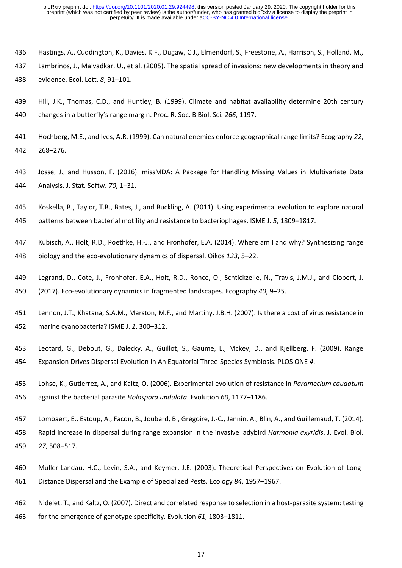- Hastings, A., Cuddington, K., Davies, K.F., Dugaw, C.J., Elmendorf, S., Freestone, A., Harrison, S., Holland, M.,
- Lambrinos, J., Malvadkar, U., et al. (2005). The spatial spread of invasions: new developments in theory and
- evidence. Ecol. Lett. *8*, 91–101.
- Hill, J.K., Thomas, C.D., and Huntley, B. (1999). Climate and habitat availability determine 20th century changes in a butterfly's range margin. Proc. R. Soc. B Biol. Sci. *266*, 1197.
- Hochberg, M.E., and Ives, A.R. (1999). Can natural enemies enforce geographical range limits? Ecography *22*, 268–276.
- Josse, J., and Husson, F. (2016). missMDA: A Package for Handling Missing Values in Multivariate Data Analysis. J. Stat. Softw. *70*, 1–31.
- Koskella, B., Taylor, T.B., Bates, J., and Buckling, A. (2011). Using experimental evolution to explore natural
- patterns between bacterial motility and resistance to bacteriophages. ISME J. *5*, 1809–1817.
- Kubisch, A., Holt, R.D., Poethke, H.-J., and Fronhofer, E.A. (2014). Where am I and why? Synthesizing range
- biology and the eco-evolutionary dynamics of dispersal. Oikos *123*, 5–22.
- Legrand, D., Cote, J., Fronhofer, E.A., Holt, R.D., Ronce, O., Schtickzelle, N., Travis, J.M.J., and Clobert, J. (2017). Eco-evolutionary dynamics in fragmented landscapes. Ecography *40*, 9–25.
- Lennon, J.T., Khatana, S.A.M., Marston, M.F., and Martiny, J.B.H. (2007). Is there a cost of virus resistance in marine cyanobacteria? ISME J. *1*, 300–312.
- Leotard, G., Debout, G., Dalecky, A., Guillot, S., Gaume, L., Mckey, D., and Kjellberg, F. (2009). Range Expansion Drives Dispersal Evolution In An Equatorial Three-Species Symbiosis. PLOS ONE *4*.
- Lohse, K., Gutierrez, A., and Kaltz, O. (2006). Experimental evolution of resistance in *Paramecium caudatum* against the bacterial parasite *Holospora undulata*. Evolution *60*, 1177–1186.
- Lombaert, E., Estoup, A., Facon, B., Joubard, B., Grégoire, J.-C., Jannin, A., Blin, A., and Guillemaud, T. (2014).
- Rapid increase in dispersal during range expansion in the invasive ladybird *Harmonia axyridis*. J. Evol. Biol. *27*, 508–517.
- Muller-Landau, H.C., Levin, S.A., and Keymer, J.E. (2003). Theoretical Perspectives on Evolution of Long-Distance Dispersal and the Example of Specialized Pests. Ecology *84*, 1957–1967.
- Nidelet, T., and Kaltz, O. (2007). Direct and correlated response to selection in a host-parasite system: testing
- for the emergence of genotype specificity. Evolution *61*, 1803–1811.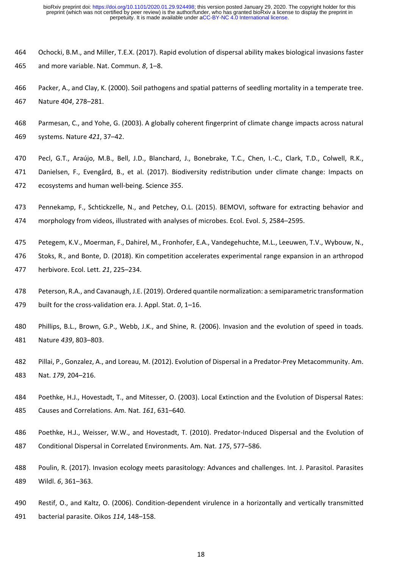- Ochocki, B.M., and Miller, T.E.X. (2017). Rapid evolution of dispersal ability makes biological invasions faster and more variable. Nat. Commun. *8*, 1–8.
- Packer, A., and Clay, K. (2000). Soil pathogens and spatial patterns of seedling mortality in a temperate tree. Nature *404*, 278–281.
- Parmesan, C., and Yohe, G. (2003). A globally coherent fingerprint of climate change impacts across natural systems. Nature *421*, 37–42.
- Pecl, G.T., Araújo, M.B., Bell, J.D., Blanchard, J., Bonebrake, T.C., Chen, I.-C., Clark, T.D., Colwell, R.K., Danielsen, F., Evengård, B., et al. (2017). Biodiversity redistribution under climate change: Impacts on ecosystems and human well-being. Science *355*.
- Pennekamp, F., Schtickzelle, N., and Petchey, O.L. (2015). BEMOVI, software for extracting behavior and morphology from videos, illustrated with analyses of microbes. Ecol. Evol. *5*, 2584–2595.
- Petegem, K.V., Moerman, F., Dahirel, M., Fronhofer, E.A., Vandegehuchte, M.L., Leeuwen, T.V., Wybouw, N.,
- Stoks, R., and Bonte, D. (2018). Kin competition accelerates experimental range expansion in an arthropod herbivore. Ecol. Lett. *21*, 225–234.
- Peterson, R.A., and Cavanaugh, J.E. (2019). Ordered quantile normalization: a semiparametric transformation built for the cross-validation era. J. Appl. Stat. *0*, 1–16.
- Phillips, B.L., Brown, G.P., Webb, J.K., and Shine, R. (2006). Invasion and the evolution of speed in toads. Nature *439*, 803–803.
- Pillai, P., Gonzalez, A., and Loreau, M. (2012). Evolution of Dispersal in a Predator-Prey Metacommunity. Am. Nat. *179*, 204–216.
- Poethke, H.J., Hovestadt, T., and Mitesser, O. (2003). Local Extinction and the Evolution of Dispersal Rates: Causes and Correlations. Am. Nat. *161*, 631–640.
- Poethke, H.J., Weisser, W.W., and Hovestadt, T. (2010). Predator-Induced Dispersal and the Evolution of Conditional Dispersal in Correlated Environments. Am. Nat. *175*, 577–586.
- Poulin, R. (2017). Invasion ecology meets parasitology: Advances and challenges. Int. J. Parasitol. Parasites Wildl. *6*, 361–363.
- Restif, O., and Kaltz, O. (2006). Condition-dependent virulence in a horizontally and vertically transmitted bacterial parasite. Oikos *114*, 148–158.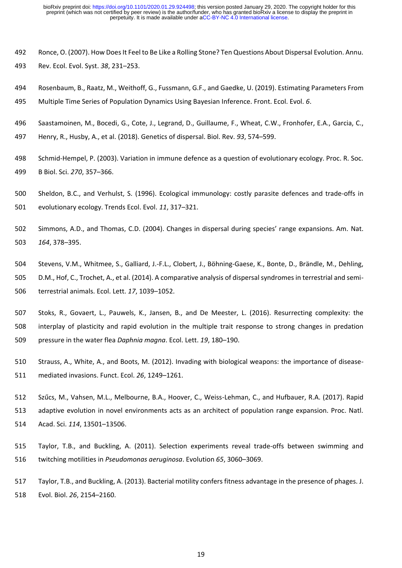- Ronce, O. (2007). How Does It Feel to Be Like a Rolling Stone? Ten Questions About Dispersal Evolution. Annu. Rev. Ecol. Evol. Syst. *38*, 231–253.
- Rosenbaum, B., Raatz, M., Weithoff, G., Fussmann, G.F., and Gaedke, U. (2019). Estimating Parameters From Multiple Time Series of Population Dynamics Using Bayesian Inference. Front. Ecol. Evol. *6*.
- Saastamoinen, M., Bocedi, G., Cote, J., Legrand, D., Guillaume, F., Wheat, C.W., Fronhofer, E.A., Garcia, C.,
- Henry, R., Husby, A., et al. (2018). Genetics of dispersal. Biol. Rev. *93*, 574–599.
- Schmid-Hempel, P. (2003). Variation in immune defence as a question of evolutionary ecology. Proc. R. Soc. B Biol. Sci. *270*, 357–366.
- Sheldon, B.C., and Verhulst, S. (1996). Ecological immunology: costly parasite defences and trade-offs in evolutionary ecology. Trends Ecol. Evol. *11*, 317–321.
- Simmons, A.D., and Thomas, C.D. (2004). Changes in dispersal during species' range expansions. Am. Nat. *164*, 378–395.
- Stevens, V.M., Whitmee, S., Galliard, J.-F.L., Clobert, J., Böhning‐Gaese, K., Bonte, D., Brändle, M., Dehling, D.M., Hof, C., Trochet, A., et al. (2014). A comparative analysis of dispersal syndromes in terrestrial and semi-terrestrial animals. Ecol. Lett. *17*, 1039–1052.
- Stoks, R., Govaert, L., Pauwels, K., Jansen, B., and De Meester, L. (2016). Resurrecting complexity: the interplay of plasticity and rapid evolution in the multiple trait response to strong changes in predation pressure in the water flea *Daphnia magna*. Ecol. Lett. *19*, 180–190.
- Strauss, A., White, A., and Boots, M. (2012). Invading with biological weapons: the importance of disease-mediated invasions. Funct. Ecol. *26*, 1249–1261.
- Szűcs, M., Vahsen, M.L., Melbourne, B.A., Hoover, C., Weiss-Lehman, C., and Hufbauer, R.A. (2017). Rapid adaptive evolution in novel environments acts as an architect of population range expansion. Proc. Natl. Acad. Sci. *114*, 13501–13506.
- Taylor, T.B., and Buckling, A. (2011). Selection experiments reveal trade-offs between swimming and twitching motilities in *Pseudomonas aeruginosa*. Evolution *65*, 3060–3069.
- Taylor, T.B., and Buckling, A. (2013). Bacterial motility confers fitness advantage in the presence of phages. J. Evol. Biol. *26*, 2154–2160.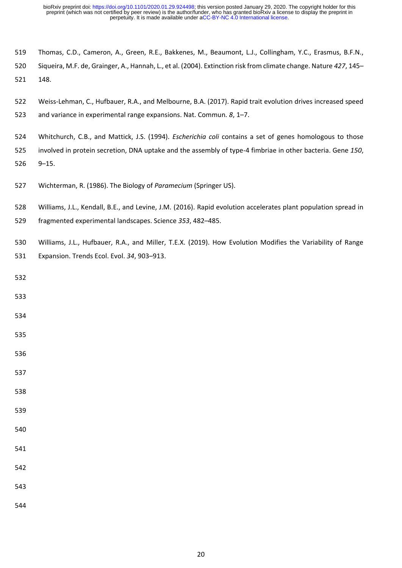- Thomas, C.D., Cameron, A., Green, R.E., Bakkenes, M., Beaumont, L.J., Collingham, Y.C., Erasmus, B.F.N.,
- Siqueira, M.F. de, Grainger, A., Hannah, L., et al. (2004). Extinction risk from climate change. Nature *427*, 145– 148.
- Weiss-Lehman, C., Hufbauer, R.A., and Melbourne, B.A. (2017). Rapid trait evolution drives increased speed
- and variance in experimental range expansions. Nat. Commun. *8*, 1–7.
- Whitchurch, C.B., and Mattick, J.S. (1994). *Escherichia coli* contains a set of genes homologous to those
- involved in protein secretion, DNA uptake and the assembly of type-4 fimbriae in other bacteria. Gene *150*, 9–15.
- Wichterman, R. (1986). The Biology of *Paramecium* (Springer US).
- Williams, J.L., Kendall, B.E., and Levine, J.M. (2016). Rapid evolution accelerates plant population spread in
- fragmented experimental landscapes. Science *353*, 482–485.
- Williams, J.L., Hufbauer, R.A., and Miller, T.E.X. (2019). How Evolution Modifies the Variability of Range Expansion. Trends Ecol. Evol. *34*, 903–913.
- 
- 
- 
- 
- 
- 
- 
- 
- 
- 
- 
- 
- 
- 
-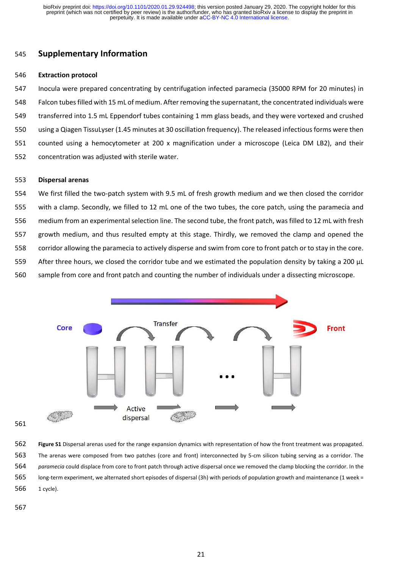# **Supplementary Information**

#### **Extraction protocol**

 Inocula were prepared concentrating by centrifugation infected paramecia (35000 RPM for 20 minutes) in Falcon tubesfilled with 15 mL of medium. After removing the supernatant, the concentrated individuals were transferred into 1.5 mL Eppendorf tubes containing 1 mm glass beads, and they were vortexed and crushed using a Qiagen TissuLyser (1.45 minutes at 30 oscillation frequency). The released infectious forms were then counted using a hemocytometer at 200 x magnification under a microscope (Leica DM LB2), and their concentration was adjusted with sterile water.

#### **Dispersal arenas**

 We first filled the two-patch system with 9.5 mL of fresh growth medium and we then closed the corridor with a clamp. Secondly, we filled to 12 mL one of the two tubes, the core patch, using the paramecia and medium from an experimental selection line. The second tube, the front patch, was filled to 12 mL with fresh growth medium, and thus resulted empty at this stage. Thirdly, we removed the clamp and opened the corridor allowing the paramecia to actively disperse and swim from core to front patch or to stay in the core. 559 After three hours, we closed the corridor tube and we estimated the population density by taking a 200 µL sample from core and front patch and counting the number of individuals under a dissecting microscope.



 **Figure S1** Dispersal arenas used for the range expansion dynamics with representation of how the front treatment was propagated. The arenas were composed from two patches (core and front) interconnected by 5-cm silicon tubing serving as a corridor. The *paramecia* could displace from core to front patch through active dispersal once we removed the clamp blocking the corridor. In the long-term experiment, we alternated short episodes of dispersal (3h) with periods of population growth and maintenance (1 week = 1 cycle).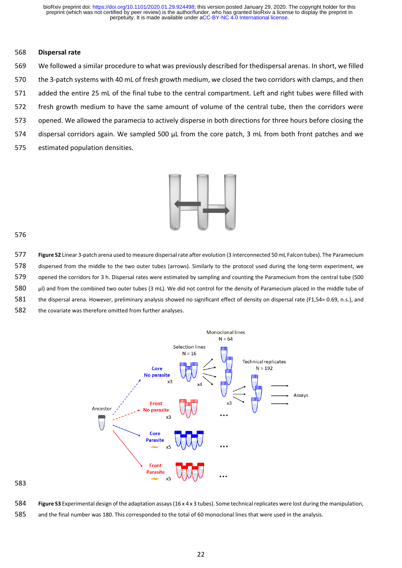## **Dispersal rate**

 We followed a similar procedure to what was previously described for thedispersal arenas. In short, we filled the 3-patch systems with 40 mL of fresh growth medium, we closed the two corridors with clamps, and then added the entire 25 mL of the final tube to the central compartment. Left and right tubes were filled with fresh growth medium to have the same amount of volume of the central tube, then the corridors were opened. We allowed the paramecia to actively disperse in both directions for three hours before closing the 574 dispersal corridors again. We sampled 500 µL from the core patch, 3 mL from both front patches and we estimated population densities.



 **Figure S2** Linear 3-patch arena used to measure dispersal rate after evolution (3 interconnected 50 mL Falcon tubes). The Paramecium dispersed from the middle to the two outer tubes (arrows). Similarly to the protocol used during the long-term experiment, we opened the corridors for 3 h. Dispersal rates were estimated by sampling and counting the Paramecium from the central tube (500 580 µl) and from the combined two outer tubes (3 mL). We did not control for the density of Paramecium placed in the middle tube of the dispersal arena. However, preliminary analysis showed no significant effect of density on dispersal rate (F1,54= 0.69, n.s.), and the covariate was therefore omitted from further analyses.



**Figure S3** Experimental design of the adaptation assays(16 x 4 x 3 tubes). Some technical replicates were lost during the manipulation,

and the final number was 180. This corresponded to the total of 60 monoclonal lines that were used in the analysis.